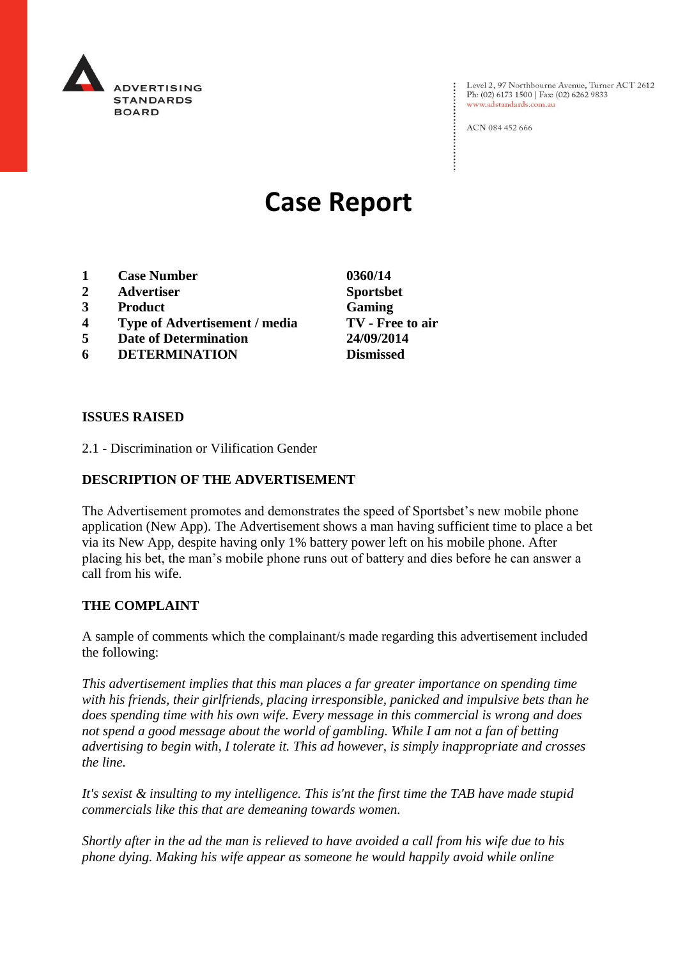

Level 2, 97 Northbourne Avenue, Turner ACT 2612 Ph: (02) 6173 1500 | Fax: (02) 6262 9833 www.adstandards.com.au

ACN 084 452 666

# **Case Report**

- **1 Case Number 0360/14**
- **2 Advertiser Sportsbet**
- **3 Product Gaming**
- **4 Type of Advertisement / media TV - Free to air**
- **5 Date of Determination 24/09/2014**
- **6 DETERMINATION Dismissed**

## **ISSUES RAISED**

2.1 - Discrimination or Vilification Gender

## **DESCRIPTION OF THE ADVERTISEMENT**

The Advertisement promotes and demonstrates the speed of Sportsbet's new mobile phone application (New App). The Advertisement shows a man having sufficient time to place a bet via its New App, despite having only 1% battery power left on his mobile phone. After placing his bet, the man's mobile phone runs out of battery and dies before he can answer a call from his wife.

## **THE COMPLAINT**

A sample of comments which the complainant/s made regarding this advertisement included the following:

*This advertisement implies that this man places a far greater importance on spending time with his friends, their girlfriends, placing irresponsible, panicked and impulsive bets than he does spending time with his own wife. Every message in this commercial is wrong and does not spend a good message about the world of gambling. While I am not a fan of betting advertising to begin with, I tolerate it. This ad however, is simply inappropriate and crosses the line.*

*It's sexist & insulting to my intelligence. This is'nt the first time the TAB have made stupid commercials like this that are demeaning towards women.*

*Shortly after in the ad the man is relieved to have avoided a call from his wife due to his phone dying. Making his wife appear as someone he would happily avoid while online*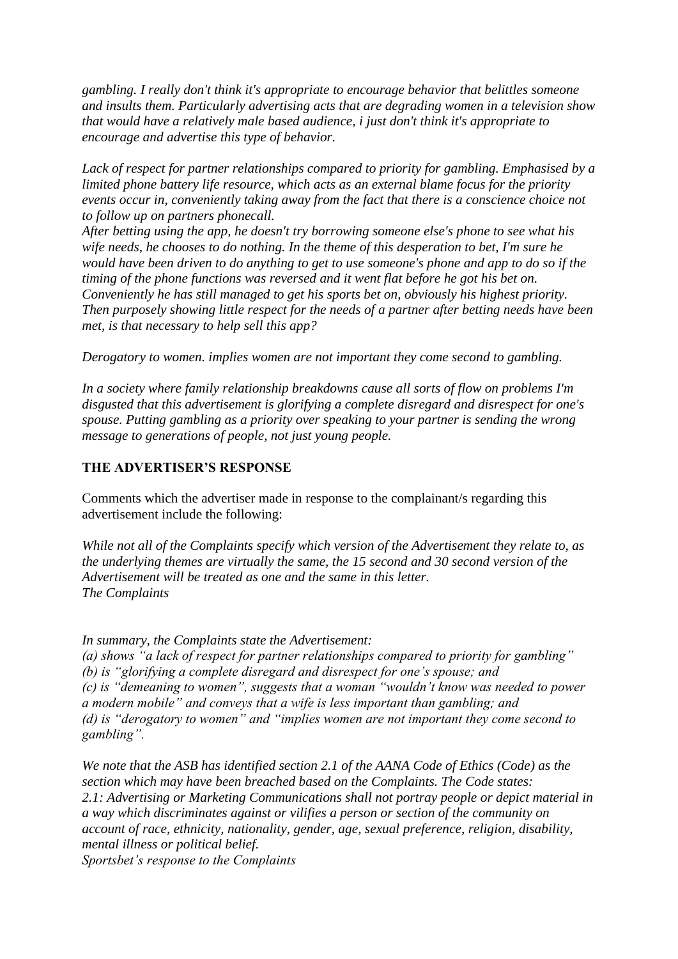*gambling. I really don't think it's appropriate to encourage behavior that belittles someone and insults them. Particularly advertising acts that are degrading women in a television show that would have a relatively male based audience, i just don't think it's appropriate to encourage and advertise this type of behavior.*

*Lack of respect for partner relationships compared to priority for gambling. Emphasised by a limited phone battery life resource, which acts as an external blame focus for the priority events occur in, conveniently taking away from the fact that there is a conscience choice not to follow up on partners phonecall.*

*After betting using the app, he doesn't try borrowing someone else's phone to see what his wife needs, he chooses to do nothing. In the theme of this desperation to bet, I'm sure he would have been driven to do anything to get to use someone's phone and app to do so if the timing of the phone functions was reversed and it went flat before he got his bet on. Conveniently he has still managed to get his sports bet on, obviously his highest priority. Then purposely showing little respect for the needs of a partner after betting needs have been met, is that necessary to help sell this app?*

*Derogatory to women. implies women are not important they come second to gambling.*

*In a society where family relationship breakdowns cause all sorts of flow on problems I'm disgusted that this advertisement is glorifying a complete disregard and disrespect for one's spouse. Putting gambling as a priority over speaking to your partner is sending the wrong message to generations of people, not just young people.*

## **THE ADVERTISER'S RESPONSE**

Comments which the advertiser made in response to the complainant/s regarding this advertisement include the following:

*While not all of the Complaints specify which version of the Advertisement they relate to, as the underlying themes are virtually the same, the 15 second and 30 second version of the Advertisement will be treated as one and the same in this letter. The Complaints*

*In summary, the Complaints state the Advertisement:*

*(a) shows "a lack of respect for partner relationships compared to priority for gambling" (b) is "glorifying a complete disregard and disrespect for one's spouse; and (c) is "demeaning to women", suggests that a woman "wouldn't know was needed to power a modern mobile" and conveys that a wife is less important than gambling; and (d) is "derogatory to women" and "implies women are not important they come second to gambling".* 

*We note that the ASB has identified section 2.1 of the AANA Code of Ethics (Code) as the section which may have been breached based on the Complaints. The Code states: 2.1: Advertising or Marketing Communications shall not portray people or depict material in a way which discriminates against or vilifies a person or section of the community on account of race, ethnicity, nationality, gender, age, sexual preference, religion, disability, mental illness or political belief.*

*Sportsbet's response to the Complaints*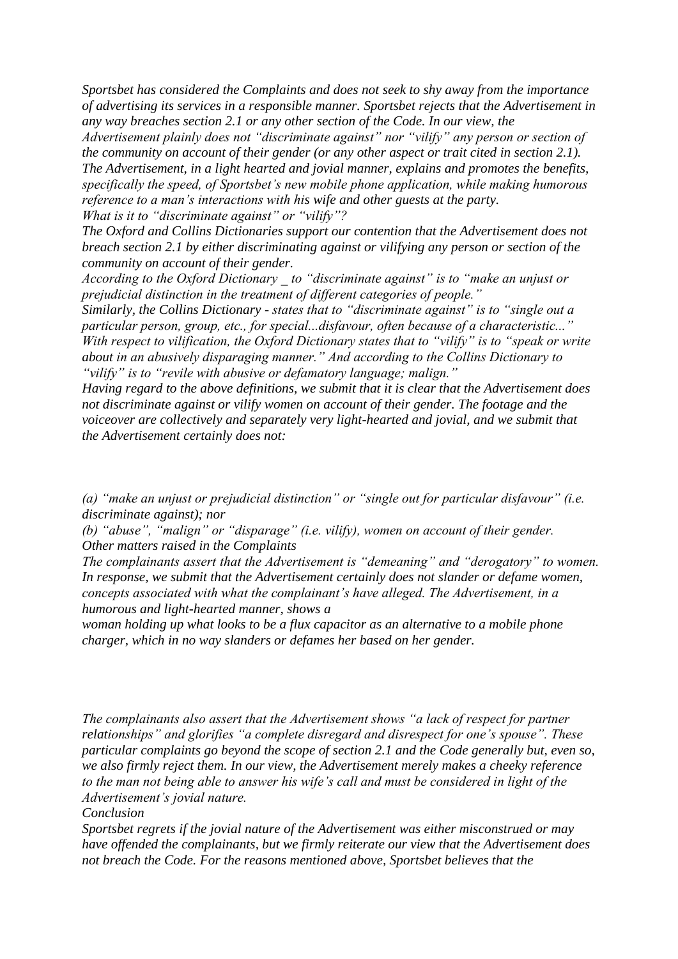*Sportsbet has considered the Complaints and does not seek to shy away from the importance of advertising its services in a responsible manner. Sportsbet rejects that the Advertisement in any way breaches section 2.1 or any other section of the Code. In our view, the* 

*Advertisement plainly does not "discriminate against" nor "vilify" any person or section of the community on account of their gender (or any other aspect or trait cited in section 2.1). The Advertisement, in a light hearted and jovial manner, explains and promotes the benefits, specifically the speed, of Sportsbet's new mobile phone application, while making humorous reference to a man's interactions with his wife and other guests at the party. What is it to "discriminate against" or "vilify"?*

*The Oxford and Collins Dictionaries support our contention that the Advertisement does not breach section 2.1 by either discriminating against or vilifying any person or section of the community on account of their gender.*

*According to the Oxford Dictionary \_ to "discriminate against" is to "make an unjust or prejudicial distinction in the treatment of different categories of people."*

*Similarly, the Collins Dictionary - states that to "discriminate against" is to "single out a particular person, group, etc., for special...disfavour, often because of a characteristic..." With respect to vilification, the Oxford Dictionary states that to "vilify" is to "speak or write about in an abusively disparaging manner." And according to the Collins Dictionary to "vilify" is to "revile with abusive or defamatory language; malign."*

*Having regard to the above definitions, we submit that it is clear that the Advertisement does not discriminate against or vilify women on account of their gender. The footage and the voiceover are collectively and separately very light-hearted and jovial, and we submit that the Advertisement certainly does not:* 

*(a) "make an unjust or prejudicial distinction" or "single out for particular disfavour" (i.e. discriminate against); nor*

*(b) "abuse", "malign" or "disparage" (i.e. vilify), women on account of their gender. Other matters raised in the Complaints*

*The complainants assert that the Advertisement is "demeaning" and "derogatory" to women. In response, we submit that the Advertisement certainly does not slander or defame women, concepts associated with what the complainant's have alleged. The Advertisement, in a humorous and light-hearted manner, shows a* 

*woman holding up what looks to be a flux capacitor as an alternative to a mobile phone charger, which in no way slanders or defames her based on her gender.* 

*The complainants also assert that the Advertisement shows "a lack of respect for partner relationships" and glorifies "a complete disregard and disrespect for one's spouse". These particular complaints go beyond the scope of section 2.1 and the Code generally but, even so, we also firmly reject them. In our view, the Advertisement merely makes a cheeky reference to the man not being able to answer his wife's call and must be considered in light of the Advertisement's jovial nature.*

*Conclusion*

*Sportsbet regrets if the jovial nature of the Advertisement was either misconstrued or may have offended the complainants, but we firmly reiterate our view that the Advertisement does not breach the Code. For the reasons mentioned above, Sportsbet believes that the*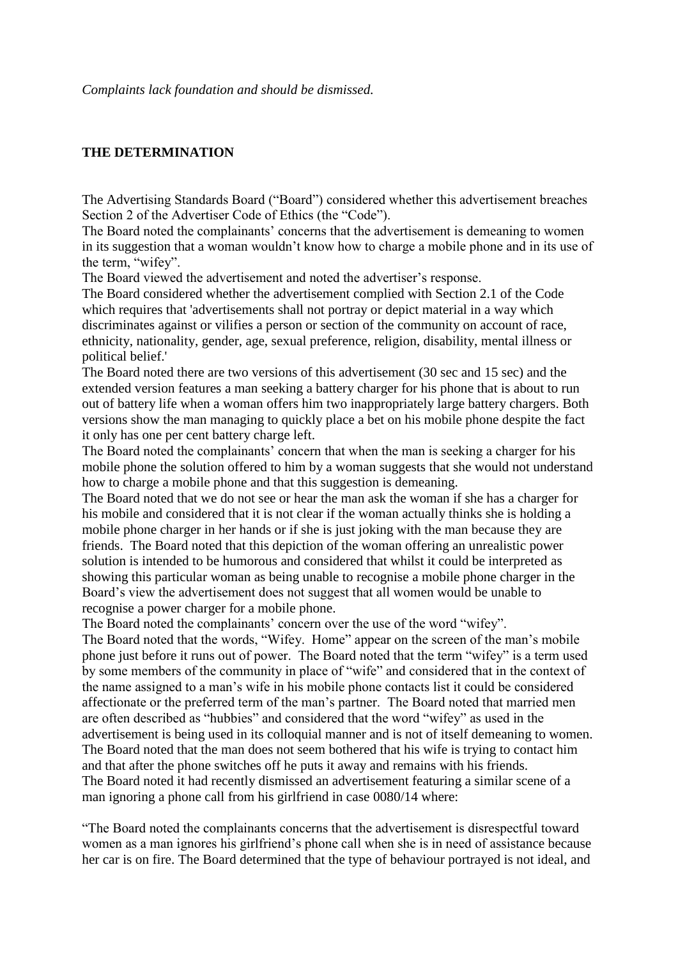## **THE DETERMINATION**

The Advertising Standards Board ("Board") considered whether this advertisement breaches Section 2 of the Advertiser Code of Ethics (the "Code").

The Board noted the complainants' concerns that the advertisement is demeaning to women in its suggestion that a woman wouldn't know how to charge a mobile phone and in its use of the term, "wifey".

The Board viewed the advertisement and noted the advertiser's response.

The Board considered whether the advertisement complied with Section 2.1 of the Code which requires that 'advertisements shall not portray or depict material in a way which discriminates against or vilifies a person or section of the community on account of race, ethnicity, nationality, gender, age, sexual preference, religion, disability, mental illness or political belief.'

The Board noted there are two versions of this advertisement (30 sec and 15 sec) and the extended version features a man seeking a battery charger for his phone that is about to run out of battery life when a woman offers him two inappropriately large battery chargers. Both versions show the man managing to quickly place a bet on his mobile phone despite the fact it only has one per cent battery charge left.

The Board noted the complainants' concern that when the man is seeking a charger for his mobile phone the solution offered to him by a woman suggests that she would not understand how to charge a mobile phone and that this suggestion is demeaning.

The Board noted that we do not see or hear the man ask the woman if she has a charger for his mobile and considered that it is not clear if the woman actually thinks she is holding a mobile phone charger in her hands or if she is just joking with the man because they are friends. The Board noted that this depiction of the woman offering an unrealistic power solution is intended to be humorous and considered that whilst it could be interpreted as showing this particular woman as being unable to recognise a mobile phone charger in the Board's view the advertisement does not suggest that all women would be unable to recognise a power charger for a mobile phone.

The Board noted the complainants' concern over the use of the word "wifey".

The Board noted that the words, "Wifey. Home" appear on the screen of the man's mobile phone just before it runs out of power. The Board noted that the term "wifey" is a term used by some members of the community in place of "wife" and considered that in the context of the name assigned to a man's wife in his mobile phone contacts list it could be considered affectionate or the preferred term of the man's partner. The Board noted that married men are often described as "hubbies" and considered that the word "wifey" as used in the advertisement is being used in its colloquial manner and is not of itself demeaning to women. The Board noted that the man does not seem bothered that his wife is trying to contact him and that after the phone switches off he puts it away and remains with his friends. The Board noted it had recently dismissed an advertisement featuring a similar scene of a man ignoring a phone call from his girlfriend in case 0080/14 where:

"The Board noted the complainants concerns that the advertisement is disrespectful toward women as a man ignores his girlfriend's phone call when she is in need of assistance because her car is on fire. The Board determined that the type of behaviour portrayed is not ideal, and